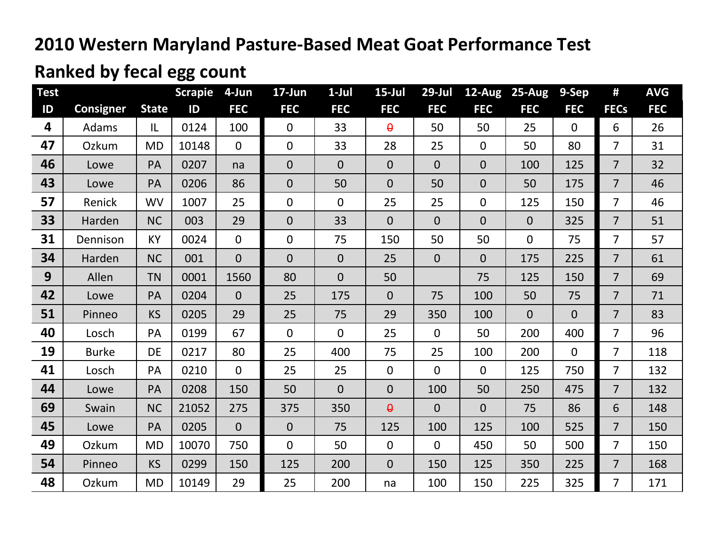## **Ranked by fecal egg count**

| <b>Test</b> |                  |              | <b>Scrapie</b> | 4-Jun          | 17-Jun         | $1-Jul$        | $15$ -Jul      | $29$ -Jul      | $12-Aug$       | $25-Aug$       | 9-Sep          | #              | <b>AVG</b> |
|-------------|------------------|--------------|----------------|----------------|----------------|----------------|----------------|----------------|----------------|----------------|----------------|----------------|------------|
| ID          | <b>Consigner</b> | <b>State</b> | ID             | <b>FEC</b>     | <b>FEC</b>     | <b>FEC</b>     | <b>FEC</b>     | <b>FEC</b>     | <b>FEC</b>     | <b>FEC</b>     | <b>FEC</b>     | <b>FECs</b>    | <b>FEC</b> |
| 4           | Adams            | L            | 0124           | 100            | $\overline{0}$ | 33             | $\theta$       | 50             | 50             | 25             | $\overline{0}$ | 6              | 26         |
| 47          | Ozkum            | <b>MD</b>    | 10148          | $\mathbf 0$    | $\mathbf 0$    | 33             | 28             | 25             | $\mathbf 0$    | 50             | 80             | $\overline{7}$ | 31         |
| 46          | Lowe             | PA           | 0207           | na             | $\overline{0}$ | $\overline{0}$ | $\mathbf 0$    | $\overline{0}$ | $\overline{0}$ | 100            | 125            | $\overline{7}$ | 32         |
| 43          | Lowe             | PA           | 0206           | 86             | $\overline{0}$ | 50             | $\overline{0}$ | 50             | $\mathbf{0}$   | 50             | 175            | $\overline{7}$ | 46         |
| 57          | Renick           | <b>WV</b>    | 1007           | 25             | $\overline{0}$ | $\overline{0}$ | 25             | 25             | $\mathbf 0$    | 125            | 150            | $\overline{7}$ | 46         |
| 33          | Harden           | <b>NC</b>    | 003            | 29             | $\overline{0}$ | 33             | $\overline{0}$ | $\overline{0}$ | $\overline{0}$ | $\overline{0}$ | 325            | $\overline{7}$ | 51         |
| 31          | Dennison         | <b>KY</b>    | 0024           | $\overline{0}$ | $\overline{0}$ | 75             | 150            | 50             | 50             | 0              | 75             | $\overline{7}$ | 57         |
| 34          | Harden           | <b>NC</b>    | 001            | $\overline{0}$ | $\overline{0}$ | $\overline{0}$ | 25             | $\overline{0}$ | $\overline{0}$ | 175            | 225            | $\overline{7}$ | 61         |
| 9           | Allen            | <b>TN</b>    | 0001           | 1560           | 80             | $\overline{0}$ | 50             |                | 75             | 125            | 150            | $\overline{7}$ | 69         |
| 42          | Lowe             | PA           | 0204           | $\overline{0}$ | 25             | 175            | $\overline{0}$ | 75             | 100            | 50             | 75             | $\overline{7}$ | 71         |
| 51          | Pinneo           | <b>KS</b>    | 0205           | 29             | 25             | 75             | 29             | 350            | 100            | $\overline{0}$ | $\overline{0}$ | $\overline{7}$ | 83         |
| 40          | Losch            | PA           | 0199           | 67             | $\overline{0}$ | $\overline{0}$ | 25             | $\overline{0}$ | 50             | 200            | 400            | $\overline{7}$ | 96         |
| 19          | <b>Burke</b>     | <b>DE</b>    | 0217           | 80             | 25             | 400            | 75             | 25             | 100            | 200            | $\overline{0}$ | $\overline{7}$ | 118        |
| 41          | Losch            | PA           | 0210           | $\overline{0}$ | 25             | 25             | $\overline{0}$ | $\overline{0}$ | $\mathbf{0}$   | 125            | 750            | $\overline{7}$ | 132        |
| 44          | Lowe             | PA           | 0208           | 150            | 50             | $\overline{0}$ | $\overline{0}$ | 100            | 50             | 250            | 475            | $\overline{7}$ | 132        |
| 69          | Swain            | <b>NC</b>    | 21052          | 275            | 375            | 350            | $\theta$       | $\overline{0}$ | $\overline{0}$ | 75             | 86             | 6              | 148        |
| 45          | Lowe             | PA           | 0205           | $\overline{0}$ | $\overline{0}$ | 75             | 125            | 100            | 125            | 100            | 525            | $\overline{7}$ | 150        |
| 49          | Ozkum            | <b>MD</b>    | 10070          | 750            | $\overline{0}$ | 50             | $\overline{0}$ | $\overline{0}$ | 450            | 50             | 500            | $\overline{7}$ | 150        |
| 54          | Pinneo           | <b>KS</b>    | 0299           | 150            | 125            | 200            | $\overline{0}$ | 150            | 125            | 350            | 225            | $\overline{7}$ | 168        |
| 48          | Ozkum            | <b>MD</b>    | 10149          | 29             | 25             | 200            | na             | 100            | 150            | 225            | 325            | $\overline{7}$ | 171        |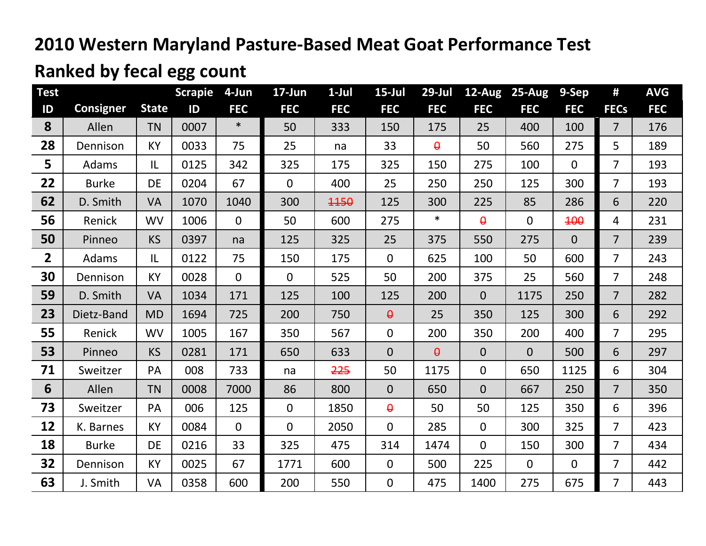## **Ranked by fecal egg count**

| <b>Test</b>    |                  |              | <b>Scrapie</b> | 4-Jun          | 17-Jun         | $1-Jul$    | $15$ -Jul      | $29$ -Jul  |                | 12-Aug 25-Aug  | 9-Sep          | #              | <b>AVG</b> |
|----------------|------------------|--------------|----------------|----------------|----------------|------------|----------------|------------|----------------|----------------|----------------|----------------|------------|
| ID             | <b>Consigner</b> | <b>State</b> | ID             | <b>FEC</b>     | <b>FEC</b>     | <b>FEC</b> | <b>FEC</b>     | <b>FEC</b> | <b>FEC</b>     | <b>FEC</b>     | <b>FEC</b>     | <b>FECs</b>    | <b>FEC</b> |
| 8              | Allen            | <b>TN</b>    | 0007           | $\ast$         | 50             | 333        | 150            | 175        | 25             | 400            | 100            | $\overline{7}$ | 176        |
| 28             | Dennison         | <b>KY</b>    | 0033           | 75             | 25             | na         | 33             | $\theta$   | 50             | 560            | 275            | 5              | 189        |
| 5              | Adams            | IL           | 0125           | 342            | 325            | 175        | 325            | 150        | 275            | 100            | $\mathbf{0}$   | $\overline{7}$ | 193        |
| 22             | <b>Burke</b>     | <b>DE</b>    | 0204           | 67             | $\mathbf{0}$   | 400        | 25             | 250        | 250            | 125            | 300            | $\overline{7}$ | 193        |
| 62             | D. Smith         | <b>VA</b>    | 1070           | 1040           | 300            | 1150       | 125            | 300        | 225            | 85             | 286            | 6              | 220        |
| 56             | Renick           | <b>WV</b>    | 1006           | $\overline{0}$ | 50             | 600        | 275            | $\ast$     | $\theta$       | $\overline{0}$ | <b>100</b>     | 4              | 231        |
| 50             | Pinneo           | <b>KS</b>    | 0397           | na             | 125            | 325        | 25             | 375        | 550            | 275            | $\overline{0}$ | $\overline{7}$ | 239        |
| $\overline{2}$ | Adams            | IL           | 0122           | 75             | 150            | 175        | $\overline{0}$ | 625        | 100            | 50             | 600            | $\overline{7}$ | 243        |
| 30             | Dennison         | KY           | 0028           | $\overline{0}$ | $\overline{0}$ | 525        | 50             | 200        | 375            | 25             | 560            | $\overline{7}$ | 248        |
| 59             | D. Smith         | VA           | 1034           | 171            | 125            | 100        | 125            | 200        | $\overline{0}$ | 1175           | 250            | $\overline{7}$ | 282        |
| 23             | Dietz-Band       | <b>MD</b>    | 1694           | 725            | 200            | 750        | $\theta$       | 25         | 350            | 125            | 300            | 6              | 292        |
| 55             | Renick           | <b>WV</b>    | 1005           | 167            | 350            | 567        | $\overline{0}$ | 200        | 350            | 200            | 400            | $\overline{7}$ | 295        |
| 53             | Pinneo           | <b>KS</b>    | 0281           | 171            | 650            | 633        | $\overline{0}$ | $\theta$   | $\overline{0}$ | $\overline{0}$ | 500            | 6              | 297        |
| 71             | Sweitzer         | PA           | 008            | 733            | na             | 225        | 50             | 1175       | $\mathbf{0}$   | 650            | 1125           | 6              | 304        |
| 6              | Allen            | <b>TN</b>    | 0008           | 7000           | 86             | 800        | $\overline{0}$ | 650        | $\overline{0}$ | 667            | 250            | $\overline{7}$ | 350        |
| 73             | Sweitzer         | PA           | 006            | 125            | $\overline{0}$ | 1850       | $\theta$       | 50         | 50             | 125            | 350            | 6              | 396        |
| 12             | K. Barnes        | KY           | 0084           | $\overline{0}$ | $\overline{0}$ | 2050       | 0              | 285        | $\overline{0}$ | 300            | 325            | $\overline{7}$ | 423        |
| 18             | <b>Burke</b>     | <b>DE</b>    | 0216           | 33             | 325            | 475        | 314            | 1474       | $\mathbf{0}$   | 150            | 300            | $\overline{7}$ | 434        |
| 32             | Dennison         | KY           | 0025           | 67             | 1771           | 600        | $\overline{0}$ | 500        | 225            | $\mathbf 0$    | $\mathbf 0$    | $\overline{7}$ | 442        |
| 63             | J. Smith         | VA           | 0358           | 600            | 200            | 550        | $\overline{0}$ | 475        | 1400           | 275            | 675            | $\overline{7}$ | 443        |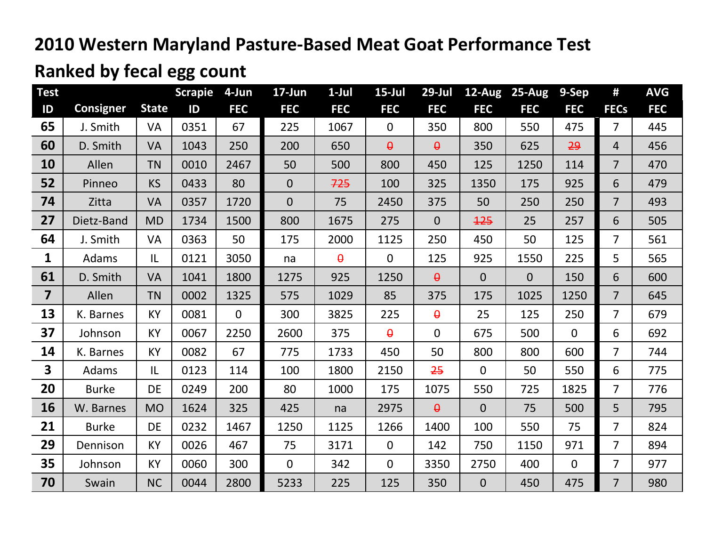## **Ranked by fecal egg count**

| <b>Test</b>             |                  |              | <b>Scrapie</b> | 4-Jun        | 17-Jun         | $1-Jul$    | $15$ -Jul      | $29$ -Jul      |                | 12-Aug 25-Aug  | 9-Sep          | #              | <b>AVG</b> |
|-------------------------|------------------|--------------|----------------|--------------|----------------|------------|----------------|----------------|----------------|----------------|----------------|----------------|------------|
| ID                      | <b>Consigner</b> | <b>State</b> | ID             | <b>FEC</b>   | <b>FEC</b>     | <b>FEC</b> | <b>FEC</b>     | <b>FEC</b>     | <b>FEC</b>     | <b>FEC</b>     | <b>FEC</b>     | <b>FECs</b>    | <b>FEC</b> |
| 65                      | J. Smith         | <b>VA</b>    | 0351           | 67           | 225            | 1067       | $\overline{0}$ | 350            | 800            | 550            | 475            | $\overline{7}$ | 445        |
| 60                      | D. Smith         | <b>VA</b>    | 1043           | 250          | 200            | 650        | $\theta$       | $\theta$       | 350            | 625            | 29             | $\overline{4}$ | 456        |
| 10                      | Allen            | <b>TN</b>    | 0010           | 2467         | 50             | 500        | 800            | 450            | 125            | 1250           | 114            | $\overline{7}$ | 470        |
| 52                      | Pinneo           | <b>KS</b>    | 0433           | 80           | $\overline{0}$ | 725        | 100            | 325            | 1350           | 175            | 925            | 6              | 479        |
| 74                      | Zitta            | <b>VA</b>    | 0357           | 1720         | $\overline{0}$ | 75         | 2450           | 375            | 50             | 250            | 250            | $\overline{7}$ | 493        |
| 27                      | Dietz-Band       | <b>MD</b>    | 1734           | 1500         | 800            | 1675       | 275            | $\overline{0}$ | 125            | 25             | 257            | 6              | 505        |
| 64                      | J. Smith         | <b>VA</b>    | 0363           | 50           | 175            | 2000       | 1125           | 250            | 450            | 50             | 125            | $\overline{7}$ | 561        |
| $\mathbf{1}$            | Adams            | IL           | 0121           | 3050         | na             | $\theta$   | $\overline{0}$ | 125            | 925            | 1550           | 225            | 5              | 565        |
| 61                      | D. Smith         | <b>VA</b>    | 1041           | 1800         | 1275           | 925        | 1250           | $\theta$       | $\overline{0}$ | $\overline{0}$ | 150            | 6              | 600        |
| $\overline{\mathbf{z}}$ | Allen            | <b>TN</b>    | 0002           | 1325         | 575            | 1029       | 85             | 375            | 175            | 1025           | 1250           | $\overline{7}$ | 645        |
| 13                      | K. Barnes        | <b>KY</b>    | 0081           | $\mathbf{0}$ | 300            | 3825       | 225            | $\theta$       | 25             | 125            | 250            | $\overline{7}$ | 679        |
| 37                      | Johnson          | KY           | 0067           | 2250         | 2600           | 375        | $\theta$       | $\overline{0}$ | 675            | 500            | $\overline{0}$ | 6              | 692        |
| 14                      | K. Barnes        | KY           | 0082           | 67           | 775            | 1733       | 450            | 50             | 800            | 800            | 600            | $\overline{7}$ | 744        |
| $\overline{\mathbf{3}}$ | Adams            | IL           | 0123           | 114          | 100            | 1800       | 2150           | 25             | $\Omega$       | 50             | 550            | 6              | 775        |
| 20                      | <b>Burke</b>     | DE           | 0249           | 200          | 80             | 1000       | 175            | 1075           | 550            | 725            | 1825           | $\overline{7}$ | 776        |
| 16                      | W. Barnes        | <b>MO</b>    | 1624           | 325          | 425            | na         | 2975           | $\theta$       | $\overline{0}$ | 75             | 500            | 5              | 795        |
| 21                      | <b>Burke</b>     | <b>DE</b>    | 0232           | 1467         | 1250           | 1125       | 1266           | 1400           | 100            | 550            | 75             | $\overline{7}$ | 824        |
| 29                      | Dennison         | <b>KY</b>    | 0026           | 467          | 75             | 3171       | $\overline{0}$ | 142            | 750            | 1150           | 971            | $\overline{7}$ | 894        |
| 35                      | Johnson          | KY           | 0060           | 300          | $\overline{0}$ | 342        | 0              | 3350           | 2750           | 400            | $\mathbf 0$    | $\overline{7}$ | 977        |
| 70                      | Swain            | <b>NC</b>    | 0044           | 2800         | 5233           | 225        | 125            | 350            | $\overline{0}$ | 450            | 475            | $\overline{7}$ | 980        |